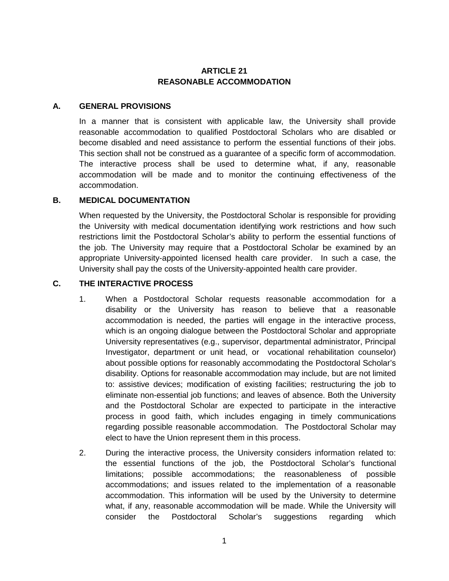## **ARTICLE 21 REASONABLE ACCOMMODATION**

## **A. GENERAL PROVISIONS**

In a manner that is consistent with applicable law, the University shall provide reasonable accommodation to qualified Postdoctoral Scholars who are disabled or become disabled and need assistance to perform the essential functions of their jobs. This section shall not be construed as a guarantee of a specific form of accommodation. The interactive process shall be used to determine what, if any, reasonable accommodation will be made and to monitor the continuing effectiveness of the accommodation.

## **B. MEDICAL DOCUMENTATION**

When requested by the University, the Postdoctoral Scholar is responsible for providing the University with medical documentation identifying work restrictions and how such restrictions limit the Postdoctoral Scholar's ability to perform the essential functions of the job. The University may require that a Postdoctoral Scholar be examined by an appropriate University-appointed licensed health care provider. In such a case, the University shall pay the costs of the University-appointed health care provider.

## **C. THE INTERACTIVE PROCESS**

- 1. When a Postdoctoral Scholar requests reasonable accommodation for a disability or the University has reason to believe that a reasonable accommodation is needed, the parties will engage in the interactive process, which is an ongoing dialogue between the Postdoctoral Scholar and appropriate University representatives (e.g., supervisor, departmental administrator, Principal Investigator, department or unit head, or vocational rehabilitation counselor) about possible options for reasonably accommodating the Postdoctoral Scholar's disability. Options for reasonable accommodation may include, but are not limited to: assistive devices; modification of existing facilities; restructuring the job to eliminate non-essential job functions; and leaves of absence. Both the University and the Postdoctoral Scholar are expected to participate in the interactive process in good faith, which includes engaging in timely communications regarding possible reasonable accommodation. The Postdoctoral Scholar may elect to have the Union represent them in this process.
- 2. During the interactive process, the University considers information related to: the essential functions of the job, the Postdoctoral Scholar's functional limitations; possible accommodations; the reasonableness of possible accommodations; and issues related to the implementation of a reasonable accommodation. This information will be used by the University to determine what, if any, reasonable accommodation will be made. While the University will consider the Postdoctoral Scholar's suggestions regarding which